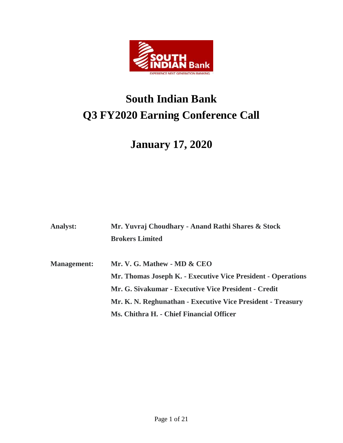

# **South Indian Bank Q3 FY2020 Earning Conference Call**

# **January 17, 2020**

| <b>Analyst:</b>    | Mr. Yuvraj Choudhary - Anand Rathi Shares & Stock            |
|--------------------|--------------------------------------------------------------|
|                    | <b>Brokers Limited</b>                                       |
|                    |                                                              |
| <b>Management:</b> | Mr. V. G. Mathew - MD & CEO                                  |
|                    | Mr. Thomas Joseph K. - Executive Vice President - Operations |
|                    | Mr. G. Sivakumar - Executive Vice President - Credit         |
|                    | Mr. K. N. Reghunathan - Executive Vice President - Treasury  |
|                    | Ms. Chithra H. - Chief Financial Officer                     |
|                    |                                                              |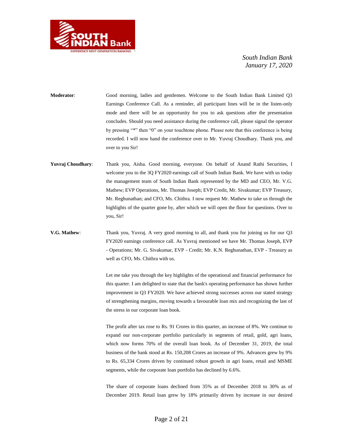

**Moderator**: Good morning, ladies and gentlemen. Welcome to the South Indian Bank Limited Q3 Earnings Conference Call. As a reminder, all participant lines will be in the listen-only mode and there will be an opportunity for you to ask questions after the presentation concludes. Should you need assistance during the conference call, please signal the operator by pressing "\*" then "0" on your touchtone phone. Please note that this conference is being recorded. I will now hand the conference over to Mr. Yuvraj Choudhary. Thank you, and over to you Sir!

- **Yuvraj Choudhary**: Thank you, Aisha. Good morning, everyone. On behalf of Anand Rathi Securities, I welcome you to the 3Q FY2020 earnings call of South Indian Bank. We have with us today the management team of South Indian Bank represented by the MD and CEO, Mr. V.G. Mathew; EVP Operations, Mr. Thomas Joseph; EVP Credit, Mr. Sivakumar; EVP Treasury, Mr. Reghunathan; and CFO, Ms. Chithra. I now request Mr. Mathew to take us through the highlights of the quarter gone by, after which we will open the floor for questions. Over to you, Sir!
- **V.G. Mathew**: Thank you, Yuvraj. A very good morning to all, and thank you for joining us for our Q3 FY2020 earnings conference call. As Yuvraj mentioned we have Mr. Thomas Joseph, EVP - Operations; Mr. G. Sivakumar, EVP - Credit; Mr. K.N. Reghunathan, EVP - Treasury as well as CFO, Ms. Chithra with us.

Let me take you through the key highlights of the operational and financial performance for this quarter. I am delighted to state that the bank's operating performance has shown further improvement in Q3 FY2020. We have achieved strong successes across our stated strategy of strengthening margins, moving towards a favourable loan mix and recognizing the last of the stress in our corporate loan book.

The profit after tax rose to Rs. 91 Crores in this quarter, an increase of 8%. We continue to expand our non-corporate portfolio particularly in segments of retail, gold, agri loans, which now forms 70% of the overall loan book. As of December 31, 2019, the total business of the bank stood at Rs. 150,208 Crores an increase of 9%. Advances grew by 9% to Rs. 65,334 Crores driven by continued robust growth in agri loans, retail and MSME segments, while the corporate loan portfolio has declined by 6.6%.

The share of corporate loans declined from 35% as of December 2018 to 30% as of December 2019. Retail loan grew by 18% primarily driven by increase in our desired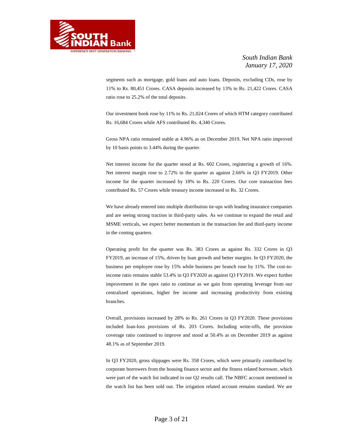

segments such as mortgage, gold loans and auto loans. Deposits, excluding CDs, rose by 11% to Rs. 80,451 Crores. CASA deposits increased by 13% to Rs. 21,422 Crores. CASA ratio rose to 25.2% of the total deposits.

Our investment book rose by 11% to Rs. 21,024 Crores of which HTM category contributed Rs. 16,684 Crores while AFS contributed Rs. 4,340 Crores.

Gross NPA ratio remained stable at 4.96% as on December 2019. Net NPA ratio improved by 10 basis points to 3.44% during the quarter.

Net interest income for the quarter stood at Rs. 602 Crores, registering a growth of 16%. Net interest margin rose to 2.72% in the quarter as against 2.66% in Q3 FY2019. Other income for the quarter increased by 18% to Rs. 220 Crores. Our core transaction fees contributed Rs. 57 Crores while treasury income increased to Rs. 32 Crores.

We have already entered into multiple distribution tie-ups with leading insurance companies and are seeing strong traction in third-party sales. As we continue to expand the retail and MSME verticals, we expect better momentum in the transaction fee and third-party income in the coming quarters.

Operating profit for the quarter was Rs. 383 Crores as against Rs. 332 Crores in Q3 FY2019, an increase of 15%, driven by loan growth and better margins. In Q3 FY2020, the business per employee rose by 15% while business per branch rose by 11%. The cost-toincome ratio remains stable 53.4% in Q3 FY2020 as against Q3 FY2019. We expect further improvement in the opex ratio to continue as we gain from operating leverage from our centralized operations, higher fee income and increasing productivity from existing branches.

Overall, provisions increased by 28% to Rs. 261 Crores in Q3 FY2020. These provisions included loan-loss provisions of Rs. 203 Crores. Including write-offs, the provision coverage ratio continued to improve and stood at 50.4% as on December 2019 as against 48.1% as of September 2019.

In Q3 FY2020, gross slippages were Rs. 358 Crores, which were primarily contributed by corporate borrowers from the housing finance sector and the fitness related borrower, which were part of the watch list indicated in our Q2 results call. The NBFC account mentioned in the watch list has been sold out. The irrigation related account remains standard. We are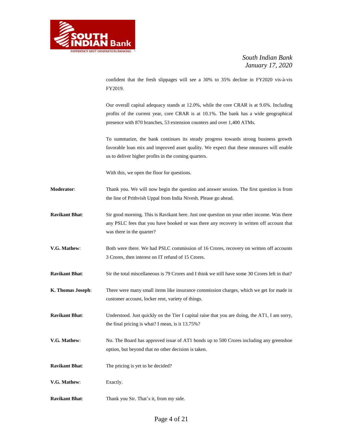

confident that the fresh slippages will see a 30% to 35% decline in FY2020 vis-à-vis FY2019.

Our overall capital adequacy stands at 12.0%, while the core CRAR is at 9.6%. Including profits of the current year, core CRAR is at 10.1%. The bank has a wide geographical presence with 870 branches, 53 extension counters and over 1,400 ATMs.

To summarize, the bank continues its steady progress towards strong business growth favorable loan mix and improved asset quality. We expect that these measures will enable us to deliver higher profits in the coming quarters.

With this, we open the floor for questions.

- **Moderator**: Thank you. We will now begin the question and answer session. The first question is from the line of Prithvish Uppal from India Nivesh. Please go ahead.
- **Ravikant Bhat**: Sir good morning. This is Ravikant here. Just one question on your other income. Was there any PSLC fees that you have booked or was there any recovery in written off account that was there in the quarter?
- **V.G. Mathew:** Both were there. We had PSLC commission of 16 Crores, recovery on written off accounts 3 Crores, then interest on IT refund of 15 Crores.
- **Ravikant Bhat**: Sir the total miscellaneous is 79 Crores and I think we still have some 30 Crores left in that?
- **K. Thomas Joseph**: There were many small items like insurance commission charges, which we get for made in customer account, locker rent, variety of things.
- **Ravikant Bhat**: Understood. Just quickly on the Tier I capital raise that you are doing, the AT1, I am sorry, the final pricing is what? I mean, is it 13.75%?
- **V.G. Mathew:** No. The Board has approved issue of AT1 bonds up to 500 Crores including any greenshoe option, but beyond that no other decision is taken.
- **Ravikant Bhat**: The pricing is yet to be decided?
- **V.G. Mathew**: Exactly.
- **Ravikant Bhat**: Thank you Sir. That's it, from my side.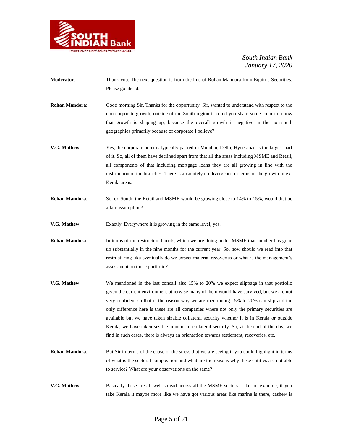

- **Moderator**: Thank you. The next question is from the line of Rohan Mandora from Equirus Securities. Please go ahead.
- **Rohan Mandora**: Good morning Sir. Thanks for the opportunity. Sir, wanted to understand with respect to the non-corporate growth, outside of the South region if could you share some colour on how that growth is shaping up, because the overall growth is negative in the non-south geographies primarily because of corporate I believe?
- **V.G. Mathew**: Yes, the corporate book is typically parked in Mumbai, Delhi, Hyderabad is the largest part of it. So, all of them have declined apart from that all the areas including MSME and Retail, all components of that including mortgage loans they are all growing in line with the distribution of the branches. There is absolutely no divergence in terms of the growth in ex-Kerala areas.
- **Rohan Mandora**: So, ex-South, the Retail and MSME would be growing close to 14% to 15%, would that be a fair assumption?
- **V.G. Mathew:** Exactly. Everywhere it is growing in the same level, yes.
- **Rohan Mandora:** In terms of the restructured book, which we are doing under MSME that number has gone up substantially in the nine months for the current year. So, how should we read into that restructuring like eventually do we expect material recoveries or what is the management's assessment on those portfolio?
- **V.G. Mathew**: We mentioned in the last concall also 15% to 20% we expect slippage in that portfolio given the current environment otherwise many of them would have survived, but we are not very confident so that is the reason why we are mentioning 15% to 20% can slip and the only difference here is these are all companies where not only the primary securities are available but we have taken sizable collateral security whether it is in Kerala or outside Kerala, we have taken sizable amount of collateral security. So, at the end of the day, we find in such cases, there is always an orientation towards settlement, recoveries, etc.
- **Rohan Mandora:** But Sir in terms of the cause of the stress that we are seeing if you could highlight in terms of what is the sectoral composition and what are the reasons why these entities are not able to service? What are your observations on the same?
- **V.G. Mathew**: Basically these are all well spread across all the MSME sectors. Like for example, if you take Kerala it maybe more like we have got various areas like marine is there, cashew is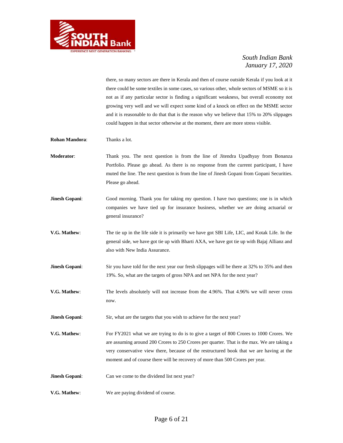

there, so many sectors are there in Kerala and then of course outside Kerala if you look at it there could be some textiles in some cases, so various other, whole sectors of MSME so it is not as if any particular sector is finding a significant weakness, but overall economy not growing very well and we will expect some kind of a knock on effect on the MSME sector and it is reasonable to do that that is the reason why we believe that 15% to 20% slippages could happen in that sector otherwise at the moment, there are more stress visible.

- **Rohan Mandora**: Thanks a lot.
- **Moderator**: Thank you. The next question is from the line of Jitendra Upadhyay from Bonanza Portfolio. Please go ahead. As there is no response from the current participant, I have muted the line. The next question is from the line of Jinesh Gopani from Gopani Securities. Please go ahead.
- **Jinesh Gopani:** Good morning. Thank you for taking my question. I have two questions; one is in which companies we have tied up for insurance business, whether we are doing actuarial or general insurance?
- **V.G. Mathew**: The tie up in the life side it is primarily we have got SBI Life, LIC, and Kotak Life. In the general side, we have got tie up with Bharti AXA, we have got tie up with Bajaj Allianz and also with New India Assurance.
- **Jinesh Gopani:** Sir you have told for the next year our fresh slippages will be there at 32% to 35% and then 19%. So, what are the targets of gross NPA and net NPA for the next year?
- **V.G. Mathew**: The levels absolutely will not increase from the 4.96%. That 4.96% we will never cross now.
- **Jinesh Gopani:** Sir, what are the targets that you wish to achieve for the next year?
- **V.G. Mathew:** For FY2021 what we are trying to do is to give a target of 800 Crores to 1000 Crores. We are assuming around 200 Crores to 250 Crores per quarter. That is the max. We are taking a very conservative view there, because of the restructured book that we are having at the moment and of course there will be recovery of more than 500 Crores per year.
- **Jinesh Gopani:** Can we come to the dividend list next year?
- **V.G. Mathew:** We are paying dividend of course.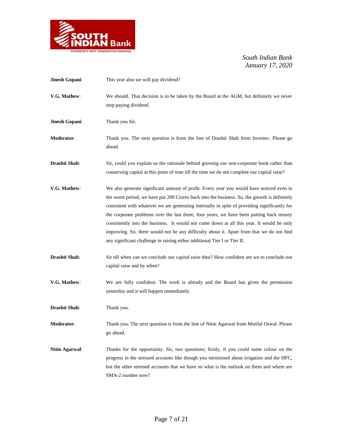

| Jinesh Gopani:        | This year also we will pay dividend?                                                                                                                                                                                                                                                                                                                                                                                                                                                                                                                                                                                                                         |
|-----------------------|--------------------------------------------------------------------------------------------------------------------------------------------------------------------------------------------------------------------------------------------------------------------------------------------------------------------------------------------------------------------------------------------------------------------------------------------------------------------------------------------------------------------------------------------------------------------------------------------------------------------------------------------------------------|
| V.G. Mathew:          | We should. That decision is to be taken by the Board at the AGM, but definitely we never<br>stop paying dividend.                                                                                                                                                                                                                                                                                                                                                                                                                                                                                                                                            |
| Jinesh Gopani:        | Thank you Sir.                                                                                                                                                                                                                                                                                                                                                                                                                                                                                                                                                                                                                                               |
| Moderator:            | Thank you. The next question is from the line of Drashti Shah from Invested. Please go<br>ahead.                                                                                                                                                                                                                                                                                                                                                                                                                                                                                                                                                             |
| Drashti Shah:         | Sir, could you explain us the rationale behind growing our non-corporate book rather than<br>conserving capital at this point of time till the time we do not complete our capital raise?                                                                                                                                                                                                                                                                                                                                                                                                                                                                    |
| V.G. Mathew:          | We also generate significant amount of profit. Every year you would have noticed even in<br>the worst period, we have put 200 Crores back into the business. So, the growth is definitely<br>consistent with whatever we are generating internally in spite of providing significantly for<br>the corporate problems over the last three, four years, we have been putting back money<br>consistently into the business. It would not come down at all this year. It would be only<br>improving. So, there would not be any difficulty about it. Apart from that we do not find<br>any significant challenge in raising either additional Tier I or Tier II. |
| Drashti Shah:         | Sir till when can we conclude our capital raise then? How confident are we to conclude our<br>capital raise and by when?                                                                                                                                                                                                                                                                                                                                                                                                                                                                                                                                     |
| V.G. Mathew:          | We are fully confident. The work is already and the Board has given the permission<br>yesterday and it will happen immediately.                                                                                                                                                                                                                                                                                                                                                                                                                                                                                                                              |
| Drashti Shah:         | Thank you.                                                                                                                                                                                                                                                                                                                                                                                                                                                                                                                                                                                                                                                   |
| <b>Moderator:</b>     | Thank you. The next question is from the line of Nitin Agarwal from Motilal Oswal. Please<br>go ahead.                                                                                                                                                                                                                                                                                                                                                                                                                                                                                                                                                       |
| <b>Nitin Agarwal:</b> | Thanks for the opportunity. Sir, two questions; firstly, if you could some colour on the<br>progress in the stressed accounts like though you mentioned about irrigation and the HFC,<br>but the other stressed accounts that we have so what is the outlook on them and where are<br>SMA-2 number now?                                                                                                                                                                                                                                                                                                                                                      |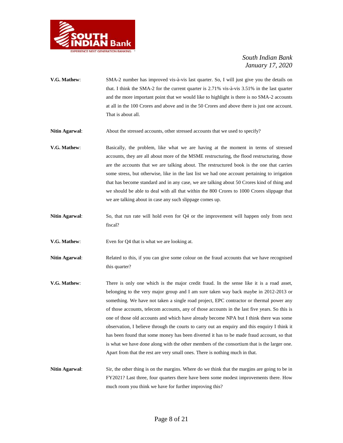

- **V.G. Mathew**: SMA-2 number has improved vis-à-vis last quarter. So, I will just give you the details on that. I think the SMA-2 for the current quarter is 2.71% vis-à-vis 3.51% in the last quarter and the more important point that we would like to highlight is there is no SMA-2 accounts at all in the 100 Crores and above and in the 50 Crores and above there is just one account. That is about all.
- **Nitin Agarwal:** About the stressed accounts, other stressed accounts that we used to specify?
- **V.G. Mathew**: Basically, the problem, like what we are having at the moment in terms of stressed accounts, they are all about more of the MSME restructuring, the flood restructuring, those are the accounts that we are talking about. The restructured book is the one that carries some stress, but otherwise, like in the last list we had one account pertaining to irrigation that has become standard and in any case, we are talking about 50 Crores kind of thing and we should be able to deal with all that within the 800 Crores to 1000 Crores slippage that we are talking about in case any such slippage comes up.
- **Nitin Agarwal:** So, that run rate will hold even for Q4 or the improvement will happen only from next fiscal?
- **V.G. Mathew:** Even for Q4 that is what we are looking at.
- **Nitin Agarwal:** Related to this, if you can give some colour on the fraud accounts that we have recognised this quarter?
- **V.G. Mathew:** There is only one which is the major credit fraud. In the sense like it is a road asset, belonging to the very major group and I am sure taken way back maybe in 2012-2013 or something. We have not taken a single road project, EPC contractor or thermal power any of those accounts, telecom accounts, any of those accounts in the last five years. So this is one of those old accounts and which have already become NPA but I think there was some observation, I believe through the courts to carry out an enquiry and this enquiry I think it has been found that some money has been diverted it has to be made fraud account, so that is what we have done along with the other members of the consortium that is the larger one. Apart from that the rest are very small ones. There is nothing much in that.
- **Nitin Agarwal:** Sir, the other thing is on the margins. Where do we think that the margins are going to be in FY2021? Last three, four quarters there have been some modest improvements there. How much room you think we have for further improving this?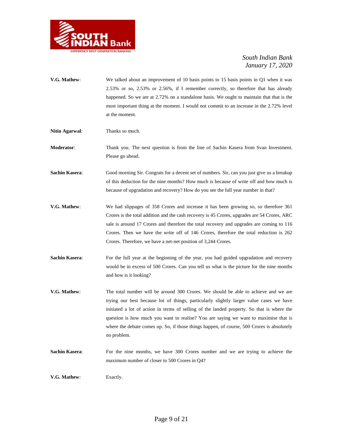

- **V.G. Mathew**: We talked about an improvement of 10 basis points to 15 basis points in Q1 when it was 2.53% or so, 2.53% or 2.56%, if I remember correctly, so therefore that has already happened. So we are at 2.72% on a standalone basis. We ought to maintain that that is the most important thing at the moment. I would not commit to an increase in the 2.72% level at the moment.
- **Nitin Agarwal**: Thanks so much.

**Moderator**: Thank you. The next question is from the line of Sachin Kasera from Svan Investment. Please go ahead.

**Sachin Kasera:** Good morning Sir. Congrats for a decent set of numbers. Sir, can you just give us a breakup of this deduction for the nine months? How much is because of write off and how much is because of upgradation and recovery? How do you see the full year number in that?

- **V.G. Mathew**: We had slippages of 358 Crores and increase it has been growing so, so therefore 361 Crores is the total addition and the cash recovery is 45 Crores, upgrades are 54 Crores, ARC sale is around 17 Crores and therefore the total recovery and upgrades are coming to 116 Crores. Then we have the write off of 146 Crores, therefore the total reduction is 262 Crores. Therefore, we have a net-net position of 3,244 Crores.
- **Sachin Kasera:** For the full year at the beginning of the year, you had guided upgradation and recovery would be in excess of 500 Crores. Can you tell us what is the picture for the nine months and how is it looking?
- **V.G. Mathew**: The total number will be around 300 Crores. We should be able to achieve and we are trying our best because lot of things, particularly slightly larger value cases we have initiated a lot of action in terms of selling of the landed property. So that is where the question is how much you want to realise? You are saying we want to maximise that is where the debate comes up. So, if those things happen, of course, 500 Crores is absolutely no problem.
- Sachin Kasera: For the nine months, we have 300 Crores number and we are trying to achieve the maximum number of closer to 500 Crores in Q4?

**V.G. Mathew**: Exactly.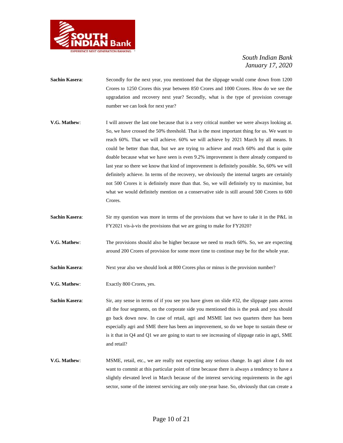

- **Sachin Kasera:** Secondly for the next year, you mentioned that the slippage would come down from 1200 Crores to 1250 Crores this year between 850 Crores and 1000 Crores. How do we see the upgradation and recovery next year? Secondly, what is the type of provision coverage number we can look for next year?
- **V.G. Mathew**: I will answer the last one because that is a very critical number we were always looking at. So, we have crossed the 50% threshold. That is the most important thing for us. We want to reach 60%. That we will achieve. 60% we will achieve by 2021 March by all means. It could be better than that, but we are trying to achieve and reach 60% and that is quite doable because what we have seen is even 9.2% improvement is there already compared to last year so there we know that kind of improvement is definitely possible. So, 60% we will definitely achieve. In terms of the recovery, we obviously the internal targets are certainly not 500 Crores it is definitely more than that. So, we will definitely try to maximise, but what we would definitely mention on a conservative side is still around 500 Crores to 600 Crores.
- **Sachin Kasera:** Sir my question was more in terms of the provisions that we have to take it in the P&L in FY2021 vis-à-vis the provisions that we are going to make for FY2020?
- **V.G. Mathew**: The provisions should also be higher because we need to reach 60%. So, we are expecting around 200 Crores of provision for some more time to continue may be for the whole year.
- **Sachin Kasera:** Next year also we should look at 800 Crores plus or minus is the provision number?
- **V.G. Mathew**: Exactly 800 Crores, yes.

**Sachin Kasera:** Sir, any sense in terms of if you see you have given on slide #32, the slippage pans across all the four segments, on the corporate side you mentioned this is the peak and you should go back down now. In case of retail, agri and MSME last two quarters there has been especially agri and SME there has been an improvement, so do we hope to sustain these or is it that in Q4 and Q1 we are going to start to see increasing of slippage ratio in agri, SME and retail?

**V.G. Mathew**: MSME, retail, etc., we are really not expecting any serious change. In agri alone I do not want to commit at this particular point of time because there is always a tendency to have a slightly elevated level in March because of the interest servicing requirements in the agri sector, some of the interest servicing are only one-year base. So, obviously that can create a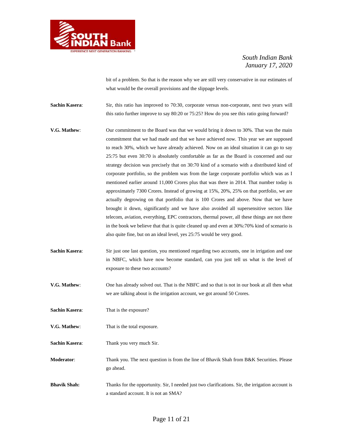

bit of a problem. So that is the reason why we are still very conservative in our estimates of what would be the overall provisions and the slippage levels.

**Sachin Kasera:** Sir, this ratio has improved to 70:30, corporate versus non-corporate, next two years will this ratio further improve to say 80:20 or 75:25? How do you see this ratio going forward?

- **V.G. Mathew:** Our commitment to the Board was that we would bring it down to 30%. That was the main commitment that we had made and that we have achieved now. This year we are supposed to reach 30%, which we have already achieved. Now on an ideal situation it can go to say 25:75 but even 30:70 is absolutely comfortable as far as the Board is concerned and our strategy decision was precisely that on 30:70 kind of a scenario with a distributed kind of corporate portfolio, so the problem was from the large corporate portfolio which was as I mentioned earlier around 11,000 Crores plus that was there in 2014. That number today is approximately 7300 Crores. Instead of growing at 15%, 20%, 25% on that portfolio, we are actually degrowing on that portfolio that is 100 Crores and above. Now that we have brought it down, significantly and we have also avoided all supersensitive sectors like telecom, aviation, everything, EPC contractors, thermal power, all these things are not there in the book we believe that that is quite cleaned up and even at 30%:70% kind of scenario is also quite fine, but on an ideal level, yes 25:75 would be very good.
- **Sachin Kasera:** Sir just one last question, you mentioned regarding two accounts, one in irrigation and one in NBFC, which have now become standard, can you just tell us what is the level of exposure to these two accounts?
- **V.G. Mathew**: One has already solved out. That is the NBFC and so that is not in our book at all then what we are talking about is the irrigation account, we got around 50 Crores.

**Sachin Kasera:** That is the exposure?

**V.G. Mathew**: That is the total exposure.

**Sachin Kasera**: Thank you very much Sir.

**Moderator**: Thank you. The next question is from the line of Bhavik Shah from B&K Securities. Please go ahead.

**Bhavik Shah:** Thanks for the opportunity. Sir, I needed just two clarifications. Sir, the irrigation account is a standard account. It is not an SMA?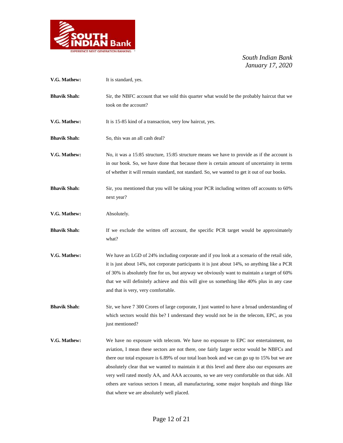

| V.G. Mathew:        | It is standard, yes.                                                                                                                                                                                                                                                                                                                                                                                                                                                                                                                                                                                                    |
|---------------------|-------------------------------------------------------------------------------------------------------------------------------------------------------------------------------------------------------------------------------------------------------------------------------------------------------------------------------------------------------------------------------------------------------------------------------------------------------------------------------------------------------------------------------------------------------------------------------------------------------------------------|
| <b>Bhavik Shah:</b> | Sir, the NBFC account that we sold this quarter what would be the probably haircut that we<br>took on the account?                                                                                                                                                                                                                                                                                                                                                                                                                                                                                                      |
| V.G. Mathew:        | It is 15-85 kind of a transaction, very low haircut, yes.                                                                                                                                                                                                                                                                                                                                                                                                                                                                                                                                                               |
| <b>Bhavik Shah:</b> | So, this was an all cash deal?                                                                                                                                                                                                                                                                                                                                                                                                                                                                                                                                                                                          |
| V.G. Mathew:        | No, it was a 15:85 structure, 15:85 structure means we have to provide as if the account is<br>in our book. So, we have done that because there is certain amount of uncertainty in terms<br>of whether it will remain standard, not standard. So, we wanted to get it out of our books.                                                                                                                                                                                                                                                                                                                                |
| <b>Bhavik Shah:</b> | Sir, you mentioned that you will be taking your PCR including written off accounts to 60%<br>next year?                                                                                                                                                                                                                                                                                                                                                                                                                                                                                                                 |
| V.G. Mathew:        | Absolutely.                                                                                                                                                                                                                                                                                                                                                                                                                                                                                                                                                                                                             |
| <b>Bhavik Shah:</b> | If we exclude the written off account, the specific PCR target would be approximately<br>what?                                                                                                                                                                                                                                                                                                                                                                                                                                                                                                                          |
| V.G. Mathew:        | We have an LGD of 24% including corporate and if you look at a scenario of the retail side,<br>it is just about 14%, not corporate participants it is just about 14%, so anything like a PCR<br>of 30% is absolutely fine for us, but anyway we obviously want to maintain a target of 60%<br>that we will definitely achieve and this will give us something like 40% plus in any case<br>and that is very, very comfortable.                                                                                                                                                                                          |
| <b>Bhavik Shah:</b> | Sir, we have 7 300 Crores of large corporate, I just wanted to have a broad understanding of<br>which sectors would this be? I understand they would not be in the telecom, EPC, as you<br>just mentioned?                                                                                                                                                                                                                                                                                                                                                                                                              |
| V.G. Mathew:        | We have no exposure with telecom. We have no exposure to EPC nor entertainment, no<br>aviation, I mean these sectors are not there, one fairly larger sector would be NBFCs and<br>there our total exposure is 6.89% of our total loan book and we can go up to 15% but we are<br>absolutely clear that we wanted to maintain it at this level and there also our exposures are<br>very well rated mostly AA, and AAA accounts, so we are very comfortable on that side. All<br>others are various sectors I mean, all manufacturing, some major hospitals and things like<br>that where we are absolutely well placed. |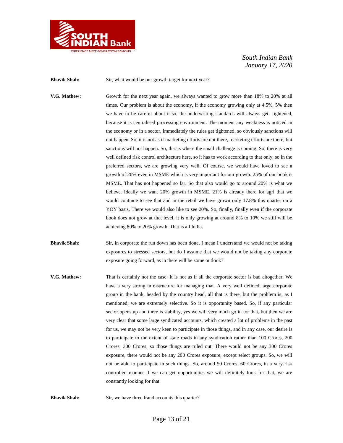

**Bhavik Shah:** Sir, what would be our growth target for next year?

**V.G. Mathew:** Growth for the next year again, we always wanted to grow more than 18% to 20% at all times. Our problem is about the economy, if the economy growing only at 4.5%, 5% then we have to be careful about it so, the underwriting standards will always get tightened, because it is centralised processing environment. The moment any weakness is noticed in the economy or in a sector, immediately the rules get tightened, so obviously sanctions will not happen. So, it is not as if marketing efforts are not there, marketing efforts are there, but sanctions will not happen. So, that is where the small challenge is coming. So, there is very well defined risk control architecture here, so it has to work according to that only, so in the preferred sectors, we are growing very well. Of course, we would have loved to see a growth of 20% even in MSME which is very important for our growth. 25% of our book is MSME. That has not happened so far. So that also would go to around 20% is what we believe. Ideally we want 20% growth in MSME. 21% is already there for agri that we would continue to see that and in the retail we have grown only 17.8% this quarter on a YOY basis. There we would also like to see 20%. So, finally, finally even if the corporate book does not grow at that level, it is only growing at around 8% to 10% we still will be achieving 80% to 20% growth. That is all India.

- **Bhavik Shah:** Sir, in corporate the run down has been done, I mean I understand we would not be taking exposures to stressed sectors, but do I assume that we would not be taking any corporate exposure going forward, as in there will be some outlook?
- **V.G. Mathew:** That is certainly not the case. It is not as if all the corporate sector is bad altogether. We have a very strong infrastructure for managing that. A very well defined large corporate group in the bank, headed by the country head, all that is there, but the problem is, as I mentioned, we are extremely selective. So it is opportunity based. So, if any particular sector opens up and there is stability, yes we will very much go in for that, but then we are very clear that some large syndicated accounts, which created a lot of problems in the past for us, we may not be very keen to participate in those things, and in any case, our desire is to participate to the extent of state roads in any syndication rather than 100 Crores, 200 Crores, 300 Crores, so those things are ruled out. There would not be any 300 Crores exposure, there would not be any 200 Crores exposure, except select groups. So, we will not be able to participate in such things. So, around 50 Crores, 60 Crores, in a very risk controlled manner if we can get opportunities we will definitely look for that, we are constantly looking for that.

**Bhavik Shah:** Sir, we have three fraud accounts this quarter?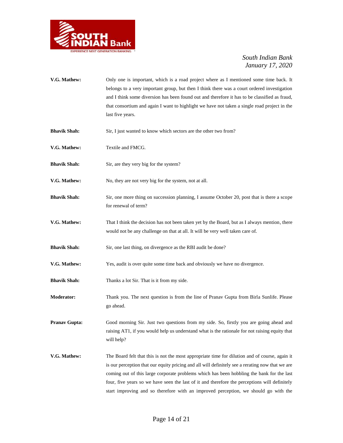

| V.G. Mathew:         | Only one is important, which is a road project where as I mentioned some time back. It<br>belongs to a very important group, but then I think there was a court ordered investigation<br>and I think some diversion has been found out and therefore it has to be classified as fraud,<br>that consortium and again I want to highlight we have not taken a single road project in the<br>last five years. |
|----------------------|------------------------------------------------------------------------------------------------------------------------------------------------------------------------------------------------------------------------------------------------------------------------------------------------------------------------------------------------------------------------------------------------------------|
| <b>Bhavik Shah:</b>  | Sir, I just wanted to know which sectors are the other two from?                                                                                                                                                                                                                                                                                                                                           |
| V.G. Mathew:         | Textile and FMCG.                                                                                                                                                                                                                                                                                                                                                                                          |
| <b>Bhavik Shah:</b>  | Sir, are they very big for the system?                                                                                                                                                                                                                                                                                                                                                                     |
| V.G. Mathew:         | No, they are not very big for the system, not at all.                                                                                                                                                                                                                                                                                                                                                      |
| <b>Bhavik Shah:</b>  | Sir, one more thing on succession planning, I assume October 20, post that is there a scope<br>for renewal of term?                                                                                                                                                                                                                                                                                        |
| V.G. Mathew:         | That I think the decision has not been taken yet by the Board, but as I always mention, there<br>would not be any challenge on that at all. It will be very well taken care of.                                                                                                                                                                                                                            |
| <b>Bhavik Shah:</b>  | Sir, one last thing, on divergence as the RBI audit be done?                                                                                                                                                                                                                                                                                                                                               |
| V.G. Mathew:         | Yes, audit is over quite some time back and obviously we have no divergence.                                                                                                                                                                                                                                                                                                                               |
| <b>Bhavik Shah:</b>  | Thanks a lot Sir. That is it from my side.                                                                                                                                                                                                                                                                                                                                                                 |
| <b>Moderator:</b>    | Thank you. The next question is from the line of Pranav Gupta from Birla Sunlife. Please<br>go ahead.                                                                                                                                                                                                                                                                                                      |
| <b>Pranav Gupta:</b> | Good morning Sir. Just two questions from my side. So, firstly you are going ahead and<br>raising AT1, if you would help us understand what is the rationale for not raising equity that<br>will help?                                                                                                                                                                                                     |
| V.G. Mathew:         | The Board felt that this is not the most appropriate time for dilution and of course, again it<br>is our perception that our equity pricing and all will definitely see a rerating now that we are<br>coming out of this large corporate problems which has been hobbling the bank for the last<br>four, five years so we have seen the last of it and therefore the perceptions will definitely           |

start improving and so therefore with an improved perception, we should go with the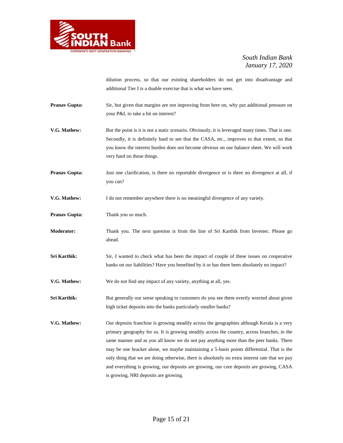

dilution process, so that our existing shareholders do not get into disadvantage and additional Tier I is a doable exercise that is what we have seen.

- **Pranav Gupta:** Sir, but given that margins are not improving from here on, why put additional pressure on your P&L to take a hit on interest?
- **V.G. Mathew:** But the point is it is not a static scenario. Obviously, it is leveraged many times. That is one. Secondly, it is definitely hard to see that the CASA, etc., improves to that extent, so that you know the interest burden does not become obvious on our balance sheet. We will work very hard on those things.
- **Pranav Gupta:** Just one clarification, is there no reportable divergence or is there no divergence at all, if you can?

**V.G. Mathew:** I do not remember anywhere there is no meaningful divergence of any variety.

- **Pranav Gupta:** Thank you so much.
- **Moderator:** Thank you. The next question is from the line of Sri Karthik from Investec. Please go ahead.
- **Sri Karthik:** Sir, I wanted to check what has been the impact of couple of these issues on cooperative banks on our liabilities? Have you benefited by it or has there been absolutely no impact?
- **V.G. Mathew:** We do not find any impact of any variety, anything at all, yes.
- **Sri Karthik:** But generally our sense speaking to customers do you see them overtly worried about given high ticket deposits into the banks particularly smaller banks?
- **V.G. Mathew:** Our deposits franchise is growing steadily across the geographies although Kerala is a very primary geography for us. It is growing steadily across the country, across branches, in the same manner and as you all know we do not pay anything more than the peer banks. There may be one bracket alone, we maybe maintaining a 5-basis points differential. That is the only thing that we are doing otherwise, there is absolutely no extra interest rate that we pay and everything is growing, our deposits are growing, our core deposits are growing, CASA is growing, NRI deposits are growing.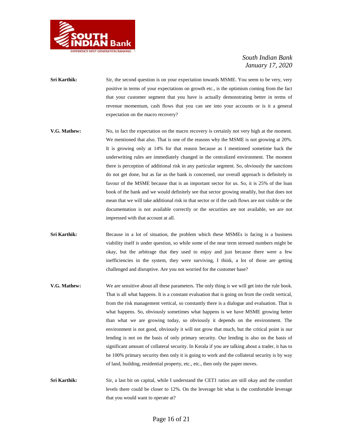

- **Sri Karthik:** Sir, the second question is on your expectation towards MSME. You seem to be very, very positive in terms of your expectations on growth etc., is the optimism coming from the fact that your customer segment that you have is actually demonstrating better in terms of revenue momentum, cash flows that you can see into your accounts or is it a general expectation on the macro recovery?
- **V.G. Mathew:** No, in fact the expectation on the macro recovery is certainly not very high at the moment. We mentioned that also. That is one of the reasons why the MSME is not growing at 20%. It is growing only at 14% for that reason because as I mentioned sometime back the underwriting rules are immediately changed in the centralized environment. The moment there is perception of additional risk in any particular segment. So, obviously the sanctions do not get done, but as far as the bank is concerned, our overall approach is definitely in favour of the MSME because that is an important sector for us. So, it is 25% of the loan book of the bank and we would definitely see that sector growing steadily, but that does not mean that we will take additional risk in that sector or if the cash flows are not visible or the documentation is not available correctly or the securities are not available, we are not impressed with that account at all.
- **Sri Karthik:** Because in a lot of situation, the problem which these MSMEs is facing is a business viability itself is under question, so while some of the near term stressed numbers might be okay, but the arbitrage that they used to enjoy and just because there were a few inefficiencies in the system, they were surviving, I think, a lot of those are getting challenged and disruptive. Are you not worried for the customer base?
- **V.G. Mathew:** We are sensitive about all these parameters. The only thing is we will get into the rule book. That is all what happens. It is a constant evaluation that is going on from the credit vertical, from the risk management vertical, so constantly there is a dialogue and evaluation. That is what happens. So, obviously sometimes what happens is we have MSME growing better than what we are growing today, so obviously it depends on the environment. The environment is not good, obviously it will not grow that much, but the critical point is our lending is not on the basis of only primary security. Our lending is also on the basis of significant amount of collateral security. In Kerala if you are talking about a trader, it has to be 100% primary security then only it is going to work and the collateral security is by way of land, building, residential property, etc., etc., then only the paper moves.
- **Sri Karthik:** Sir, a last bit on capital, while I understand the CET1 ratios are still okay and the comfort levels there could be closer to 12%. On the leverage bit what is the comfortable leverage that you would want to operate at?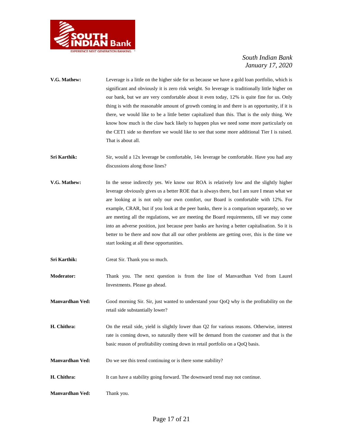

- **V.G. Mathew:** Leverage is a little on the higher side for us because we have a gold loan portfolio, which is significant and obviously it is zero risk weight. So leverage is traditionally little higher on our bank, but we are very comfortable about it even today, 12% is quite fine for us. Only thing is with the reasonable amount of growth coming in and there is an opportunity, if it is there, we would like to be a little better capitalized than this. That is the only thing. We know how much is the claw back likely to happen plus we need some more particularly on the CET1 side so therefore we would like to see that some more additional Tier I is raised. That is about all.
- Sri Karthik: Sir, would a 12x leverage be comfortable, 14x leverage be comfortable. Have you had any discussions along those lines?
- **V.G. Mathew:** In the sense indirectly yes. We know our ROA is relatively low and the slightly higher leverage obviously gives us a better ROE that is always there, but I am sure I mean what we are looking at is not only our own comfort, our Board is comfortable with 12%. For example, CRAR, but if you look at the peer banks, there is a comparison separately, so we are meeting all the regulations, we are meeting the Board requirements, till we may come into an adverse position, just because peer banks are having a better capitalisation. So it is better to be there and now that all our other problems are getting over, this is the time we start looking at all these opportunities.
- **Sri Karthik:** Great Sir. Thank you so much.

**Moderator:** Thank you. The next question is from the line of Manvardhan Ved from Laurel Investments. Please go ahead.

**Manvardhan Ved:** Good morning Sir. Sir, just wanted to understand your QoQ why is the profitability on the retail side substantially lower?

**H. Chithra:** On the retail side, yield is slightly lower than Q2 for various reasons. Otherwise, interest rate is coming down, so naturally there will be demand from the customer and that is the basic reason of profitability coming down in retail portfolio on a QoQ basis.

- **Manvardhan Ved:** Do we see this trend continuing or is there some stability?
- **H. Chithra:** It can have a stability going forward. The downward trend may not continue.
- **Manvardhan Ved:** Thank you.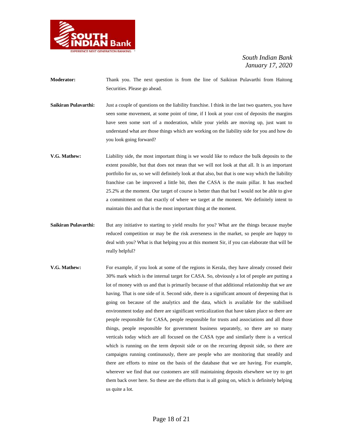

- **Moderator:** Thank you. The next question is from the line of Saikiran Pulavarthi from Haitong Securities. Please go ahead.
- **Saikiran Pulavarthi:** Just a couple of questions on the liability franchise. I think in the last two quarters, you have seen some movement, at some point of time, if I look at your cost of deposits the margins have seen some sort of a moderation, while your yields are moving up, just want to understand what are those things which are working on the liability side for you and how do you look going forward?
- **V.G. Mathew:** Liability side, the most important thing is we would like to reduce the bulk deposits to the extent possible, but that does not mean that we will not look at that all. It is an important portfolio for us, so we will definitely look at that also, but that is one way which the liability franchise can be improved a little bit, then the CASA is the main pillar. It has reached 25.2% at the moment. Our target of course is better than that but I would not be able to give a commitment on that exactly of where we target at the moment. We definitely intent to maintain this and that is the most important thing at the moment.
- **Saikiran Pulavarthi:** But any initiative to starting to yield results for you? What are the things because maybe reduced competition or may be the risk averseness in the market, so people are happy to deal with you? What is that helping you at this moment Sir, if you can elaborate that will be really helpful?
- **V.G. Mathew:** For example, if you look at some of the regions in Kerala, they have already crossed their 30% mark which is the internal target for CASA. So, obviously a lot of people are putting a lot of money with us and that is primarily because of that additional relationship that we are having. That is one side of it. Second side, there is a significant amount of deepening that is going on because of the analytics and the data, which is available for the stabilised environment today and there are significant verticalization that have taken place so there are people responsible for CASA, people responsible for trusts and associations and all those things, people responsible for government business separately, so there are so many verticals today which are all focused on the CASA type and similarly there is a vertical which is running on the term deposit side or on the recurring deposit side, so there are campaigns running continuously, there are people who are monitoring that steadily and there are efforts to mine on the basis of the database that we are having. For example, wherever we find that our customers are still maintaining deposits elsewhere we try to get them back over here. So these are the efforts that is all going on, which is definitely helping us quite a lot.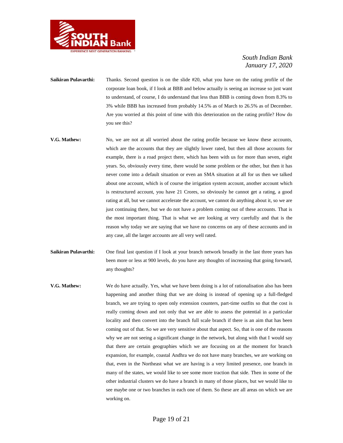

- **Saikiran Pulavarthi:** Thanks. Second question is on the slide #20, what you have on the rating profile of the corporate loan book, if I look at BBB and below actually is seeing an increase so just want to understand, of course, I do understand that less than BBB is coming down from 8.3% to 3% while BBB has increased from probably 14.5% as of March to 26.5% as of December. Are you worried at this point of time with this deterioration on the rating profile? How do you see this?
- **V.G. Mathew:** No, we are not at all worried about the rating profile because we know these accounts, which are the accounts that they are slightly lower rated, but then all those accounts for example, there is a road project there, which has been with us for more than seven, eight years. So, obviously every time, there would be some problem or the other, but then it has never come into a default situation or even an SMA situation at all for us then we talked about one account, which is of course the irrigation system account, another account which is restructured account, you have 21 Crores, so obviously he cannot get a rating, a good rating at all, but we cannot accelerate the account, we cannot do anything about it, so we are just continuing there, but we do not have a problem coming out of these accounts. That is the most important thing. That is what we are looking at very carefully and that is the reason why today we are saying that we have no concerns on any of these accounts and in any case, all the larger accounts are all very well rated.
- **Saikiran Pulavarthi:** One final last question if I look at your branch network broadly in the last three years has been more or less at 900 levels, do you have any thoughts of increasing that going forward, any thoughts?
- **V.G. Mathew:** We do have actually. Yes, what we have been doing is a lot of rationalisation also has been happening and another thing that we are doing is instead of opening up a full-fledged branch, we are trying to open only extension counters, part-time outfits so that the cost is really coming down and not only that we are able to assess the potential in a particular locality and then convert into the branch full scale branch if there is an aim that has been coming out of that. So we are very sensitive about that aspect. So, that is one of the reasons why we are not seeing a significant change in the network, but along with that I would say that there are certain geographies which we are focusing on at the moment for branch expansion, for example, coastal Andhra we do not have many branches, we are working on that, even in the Northeast what we are having is a very limited presence, one branch in many of the states, we would like to see some more traction that side. Then in some of the other industrial clusters we do have a branch in many of those places, but we would like to see maybe one or two branches in each one of them. So these are all areas on which we are working on.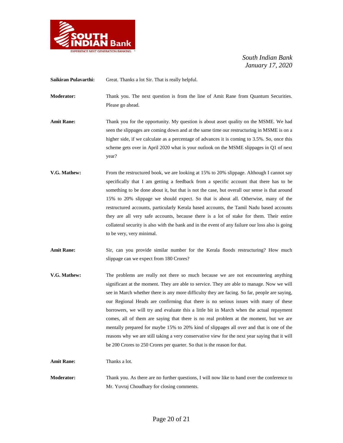

Saikiran Pulavarthi: Great. Thanks a lot Sir. That is really helpful.

**Moderator:** Thank you. The next question is from the line of Amit Rane from Quantum Securities. Please go ahead.

- **Amit Rane:** Thank you for the opportunity. My question is about asset quality on the MSME. We had seen the slippages are coming down and at the same time our restructuring in MSME is on a higher side, if we calculate as a percentage of advances it is coming to 3.5%. So, once this scheme gets over in April 2020 what is your outlook on the MSME slippages in Q1 of next year?
- **V.G. Mathew:** From the restructured book, we are looking at 15% to 20% slippage. Although I cannot say specifically that I am getting a feedback from a specific account that there has to be something to be done about it, but that is not the case, but overall our sense is that around 15% to 20% slippage we should expect. So that is about all. Otherwise, many of the restructured accounts, particularly Kerala based accounts, the Tamil Nadu based accounts they are all very safe accounts, because there is a lot of stake for them. Their entire collateral security is also with the bank and in the event of any failure our loss also is going to be very, very minimal.
- Amit Rane: Sir, can you provide similar number for the Kerala floods restructuring? How much slippage can we expect from 180 Crores?
- **V.G. Mathew:** The problems are really not there so much because we are not encountering anything significant at the moment. They are able to service. They are able to manage. Now we will see in March whether there is any more difficulty they are facing. So far, people are saying, our Regional Heads are confirming that there is no serious issues with many of these borrowers, we will try and evaluate this a little bit in March when the actual repayment comes, all of them are saying that there is no real problem at the moment, but we are mentally prepared for maybe 15% to 20% kind of slippages all over and that is one of the reasons why we are still taking a very conservative view for the next year saying that it will be 200 Crores to 250 Crores per quarter. So that is the reason for that.

**Amit Rane:** Thanks a lot.

**Moderator:** Thank you. As there are no further questions, I will now like to hand over the conference to Mr. Yuvraj Choudhary for closing comments.